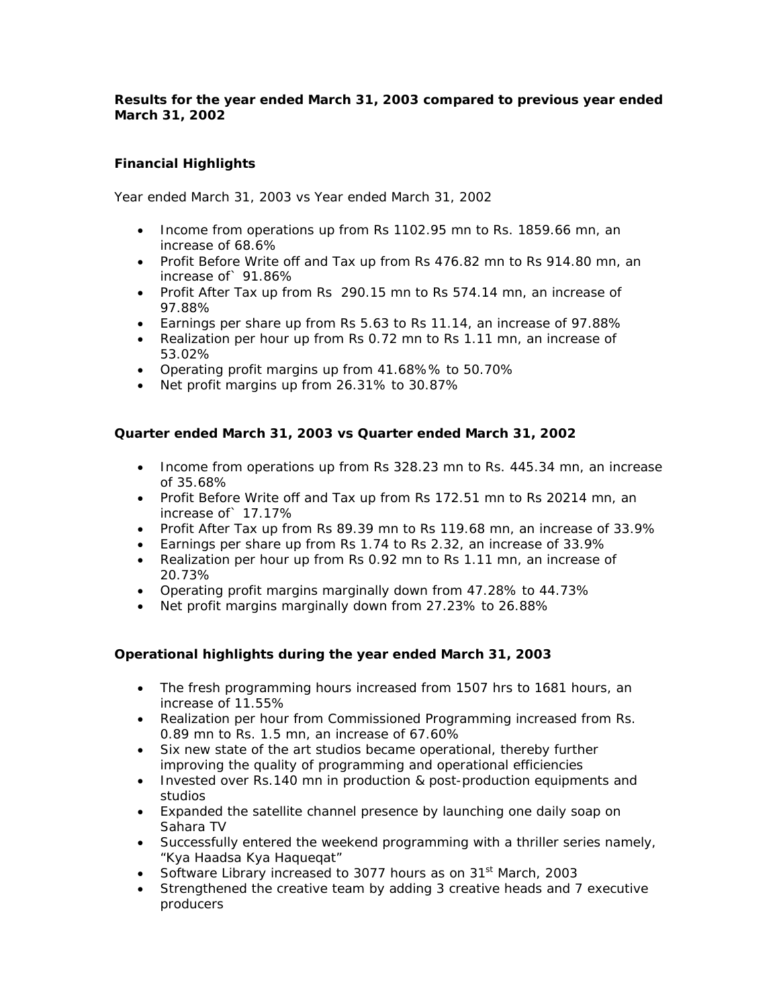### **Results for the year ended March 31, 2003 compared to previous year ended March 31, 2002**

## **Financial Highlights**

Year ended March 31, 2003 vs Year ended March 31, 2002

- Income from operations up from Rs 1102.95 mn to Rs. 1859.66 mn, an increase of 68.6%
- Profit Before Write off and Tax up from Rs 476.82 mn to Rs 914.80 mn, an increase of` 91.86%
- Profit After Tax up from Rs 290.15 mn to Rs 574.14 mn, an increase of 97.88%
- Earnings per share up from Rs 5.63 to Rs 11.14, an increase of 97.88%
- Realization per hour up from Rs 0.72 mn to Rs 1.11 mn, an increase of 53.02%
- Operating profit margins up from 41.68%% to 50.70%
- Net profit margins up from 26.31% to 30.87%

## **Quarter ended March 31, 2003 vs Quarter ended March 31, 2002**

- Income from operations up from Rs 328.23 mn to Rs. 445.34 mn, an increase of 35.68%
- Profit Before Write off and Tax up from Rs 172.51 mn to Rs 20214 mn, an increase of` 17.17%
- Profit After Tax up from Rs 89.39 mn to Rs 119.68 mn, an increase of 33.9%
- Earnings per share up from Rs 1.74 to Rs 2.32, an increase of 33.9%
- Realization per hour up from Rs 0.92 mn to Rs 1.11 mn, an increase of 20.73%
- Operating profit margins marginally down from 47.28% to 44.73%
- Net profit margins marginally down from 27.23% to 26.88%

## **Operational highlights during the year ended March 31, 2003**

- The fresh programming hours increased from 1507 hrs to 1681 hours, an increase of 11.55%
- Realization per hour from Commissioned Programming increased from Rs. 0.89 mn to Rs. 1.5 mn, an increase of 67.60%
- Six new state of the art studios became operational, thereby further improving the quality of programming and operational efficiencies
- Invested over Rs.140 mn in production & post-production equipments and studios
- Expanded the satellite channel presence by launching one daily soap on Sahara TV
- Successfully entered the weekend programming with a thriller series namely, "Kya Haadsa Kya Haqueqat"
- Software Library increased to 3077 hours as on  $31<sup>st</sup>$  March, 2003
- Strengthened the creative team by adding 3 creative heads and 7 executive producers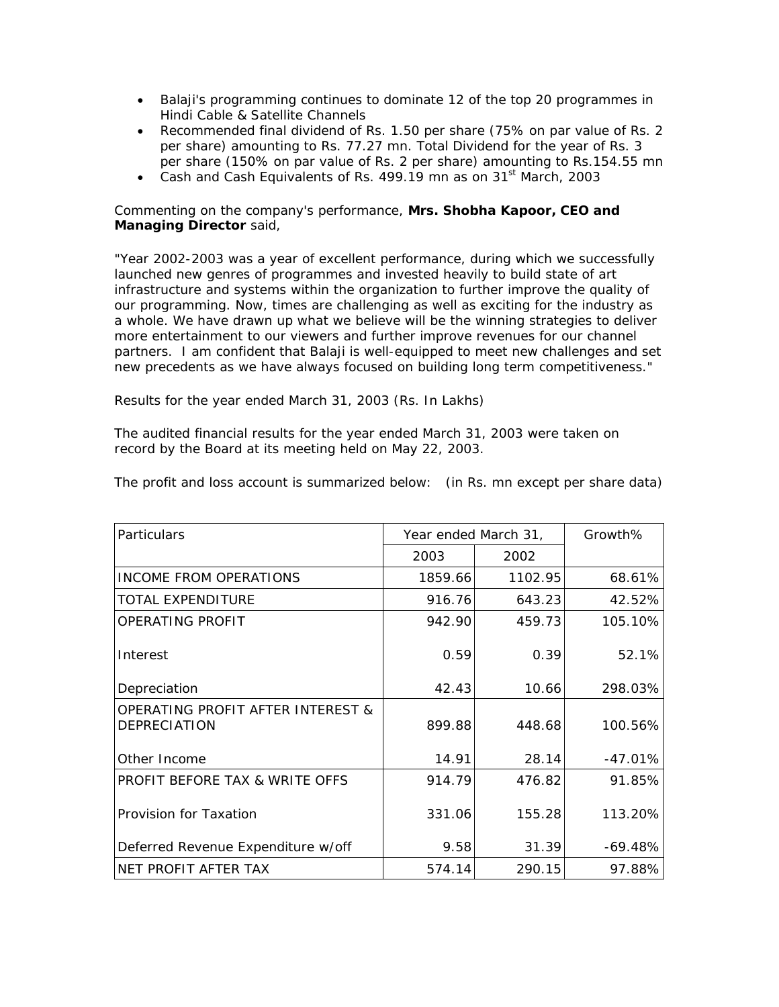- Balaji's programming continues to dominate 12 of the top 20 programmes in Hindi Cable & Satellite Channels
- Recommended final dividend of Rs. 1.50 per share (75% on par value of Rs. 2 per share) amounting to Rs. 77.27 mn. Total Dividend for the year of Rs. 3 per share (150% on par value of Rs. 2 per share) amounting to Rs.154.55 mn
- Cash and Cash Equivalents of Rs. 499.19 mn as on 31<sup>st</sup> March, 2003

Commenting on the company's performance, **Mrs. Shobha Kapoor, CEO and Managing Director** said,

"Year 2002-2003 was a year of excellent performance, during which we successfully launched new genres of programmes and invested heavily to build state of art infrastructure and systems within the organization to further improve the quality of our programming. Now, times are challenging as well as exciting for the industry as a whole. We have drawn up what we believe will be the winning strategies to deliver more entertainment to our viewers and further improve revenues for our channel partners. I am confident that Balaji is well-equipped to meet new challenges and set new precedents as we have always focused on building long term competitiveness."

Results for the year ended March 31, 2003 (Rs. In Lakhs)

The audited financial results for the year ended March 31, 2003 were taken on record by the Board at its meeting held on May 22, 2003.

The profit and loss account is summarized below: (in Rs. mn except per share data)

| Particulars                                                         | Year ended March 31, | Growth% |           |
|---------------------------------------------------------------------|----------------------|---------|-----------|
|                                                                     | 2003                 | 2002    |           |
| <b>INCOME FROM OPERATIONS</b>                                       | 1859.66              | 1102.95 | 68.61%    |
| <b>TOTAL EXPENDITURE</b>                                            | 916.76               | 643.23  | 42.52%    |
| <b>OPERATING PROFIT</b>                                             | 942.90               | 459.73  | 105.10%   |
| Interest                                                            | 0.59                 | 0.39    | 52.1%     |
| Depreciation                                                        | 42.43                | 10.66   | 298.03%   |
| <b>OPERATING PROFIT AFTER INTEREST &amp;</b><br><b>DEPRECIATION</b> | 899.88               | 448.68  | 100.56%   |
| Other Income                                                        | 14.91                | 28.14   | $-47.01%$ |
| PROFIT BEFORE TAX & WRITE OFFS                                      | 914.79               | 476.82  | 91.85%    |
| Provision for Taxation                                              | 331.06               | 155.28  | 113.20%   |
| Deferred Revenue Expenditure w/off                                  | 9.58                 | 31.39   | $-69.48%$ |
| <b>NET PROFIT AFTER TAX</b>                                         | 574.14               | 290.15  | 97.88%    |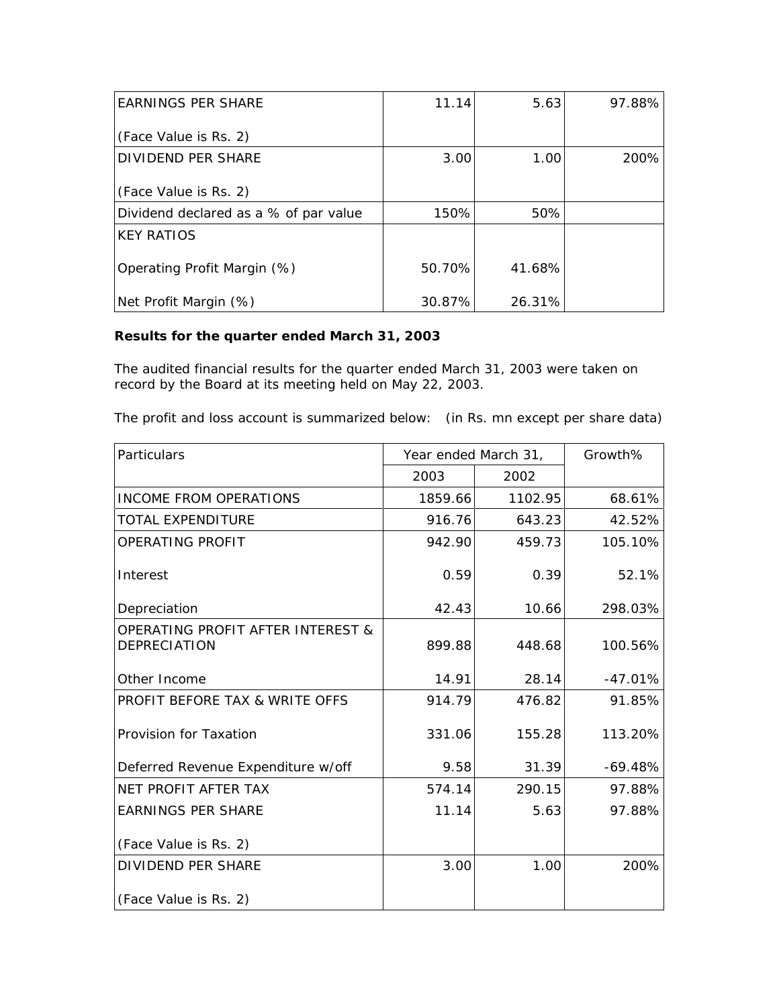| <b>EARNINGS PER SHARE</b>             | 11.14  | 5.63   | 97.88% |
|---------------------------------------|--------|--------|--------|
| (Face Value is Rs. 2)                 |        |        |        |
| DIVIDEND PER SHARE                    | 3.00   | 1.00   | 200%l  |
| (Face Value is Rs. 2)                 |        |        |        |
| Dividend declared as a % of par value | 150%   | 50%    |        |
| <b>KEY RATIOS</b>                     |        |        |        |
| Operating Profit Margin (%)           | 50.70% | 41.68% |        |
| Net Profit Margin (%)                 | 30.87% | 26.31% |        |

## **Results for the quarter ended March 31, 2003**

The audited financial results for the quarter ended March 31, 2003 were taken on record by the Board at its meeting held on May 22, 2003.

The profit and loss account is summarized below: (in Rs. mn except per share data)

| Particulars                                                         | Year ended March 31, |         | Growth%   |
|---------------------------------------------------------------------|----------------------|---------|-----------|
|                                                                     | 2003                 | 2002    |           |
| <b>INCOME FROM OPERATIONS</b>                                       | 1859.66              | 1102.95 | 68.61%    |
| <b>TOTAL EXPENDITURE</b>                                            | 916.76               | 643.23  | 42.52%    |
| OPERATING PROFIT                                                    | 942.90               | 459.73  | 105.10%   |
| Interest                                                            | 0.59                 | 0.39    | 52.1%     |
| Depreciation                                                        | 42.43                | 10.66   | 298.03%   |
| <b>OPERATING PROFIT AFTER INTEREST &amp;</b><br><b>DEPRECIATION</b> | 899.88               | 448.68  | 100.56%   |
| Other Income                                                        | 14.91                | 28.14   | $-47.01%$ |
| PROFIT BEFORE TAX & WRITE OFFS                                      | 914.79               | 476.82  | 91.85%    |
| Provision for Taxation                                              | 331.06               | 155.28  | 113.20%   |
| Deferred Revenue Expenditure w/off                                  | 9.58                 | 31.39   | $-69.48%$ |
| NET PROFIT AFTER TAX                                                | 574.14               | 290.15  | 97.88%    |
| <b>EARNINGS PER SHARE</b>                                           | 11.14                | 5.63    | 97.88%    |
| (Face Value is Rs. 2)                                               |                      |         |           |
| <b>DIVIDEND PER SHARE</b>                                           | 3.00                 | 1.00    | 200%      |
| (Face Value is Rs. 2)                                               |                      |         |           |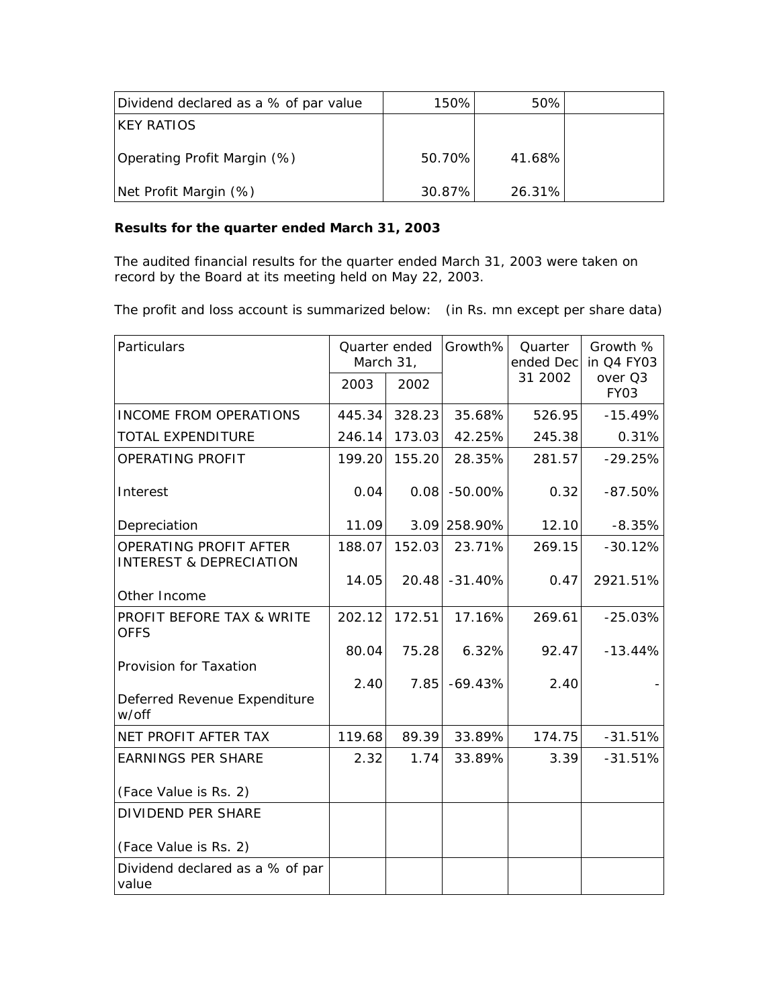| Dividend declared as a % of par value | 150%   | 50%    |  |
|---------------------------------------|--------|--------|--|
| <b>IKEY RATIOS</b>                    |        |        |  |
| <b>Operating Profit Margin (%)</b>    | 50.70% | 41.68% |  |
| Net Profit Margin (%)                 | 30.87% | 26.31% |  |

# **Results for the quarter ended March 31, 2003**

The audited financial results for the quarter ended March 31, 2003 were taken on record by the Board at its meeting held on May 22, 2003.

The profit and loss account is summarized below: (in Rs. mn except per share data)

| Particulars                                                  | Quarter ended<br>March 31, |        | Growth%        | Quarter<br>ended Dec | Growth %<br>in Q4 FY03 |
|--------------------------------------------------------------|----------------------------|--------|----------------|----------------------|------------------------|
|                                                              | 2003                       | 2002   |                | 31 2002              | over Q3<br>FY03        |
| <b>INCOME FROM OPERATIONS</b>                                | 445.34                     | 328.23 | 35.68%         | 526.95               | $-15.49%$              |
| <b>TOTAL EXPENDITURE</b>                                     | 246.14                     | 173.03 | 42.25%         | 245.38               | 0.31%                  |
| <b>OPERATING PROFIT</b>                                      | 199.20                     | 155.20 | 28.35%         | 281.57               | $-29.25%$              |
| Interest                                                     | 0.04                       | 0.08   | $-50.00\%$     | 0.32                 | $-87.50%$              |
| Depreciation                                                 | 11.09                      |        | 3.09 258.90%   | 12.10                | $-8.35%$               |
| OPERATING PROFIT AFTER<br><b>INTEREST &amp; DEPRECIATION</b> | 188.07                     | 152.03 | 23.71%         | 269.15               | $-30.12%$              |
| Other Income                                                 | 14.05                      |        | 20.48 - 31.40% | 0.47                 | 2921.51%               |
| PROFIT BEFORE TAX & WRITE<br><b>OFFS</b>                     | 202.12                     | 172.51 | 17.16%         | 269.61               | $-25.03%$              |
| Provision for Taxation                                       | 80.04                      | 75.28  | 6.32%          | 92.47                | $-13.44%$              |
| Deferred Revenue Expenditure<br>w/off                        | 2.40                       | 7.85   | $-69.43%$      | 2.40                 |                        |
| NET PROFIT AFTER TAX                                         | 119.68                     | 89.39  | 33.89%         | 174.75               | $-31.51%$              |
| <b>EARNINGS PER SHARE</b>                                    | 2.32                       | 1.74   | 33.89%         | 3.39                 | $-31.51%$              |
| (Face Value is Rs. 2)                                        |                            |        |                |                      |                        |
| <b>DIVIDEND PER SHARE</b>                                    |                            |        |                |                      |                        |
| (Face Value is Rs. 2)                                        |                            |        |                |                      |                        |
| Dividend declared as a % of par<br>value                     |                            |        |                |                      |                        |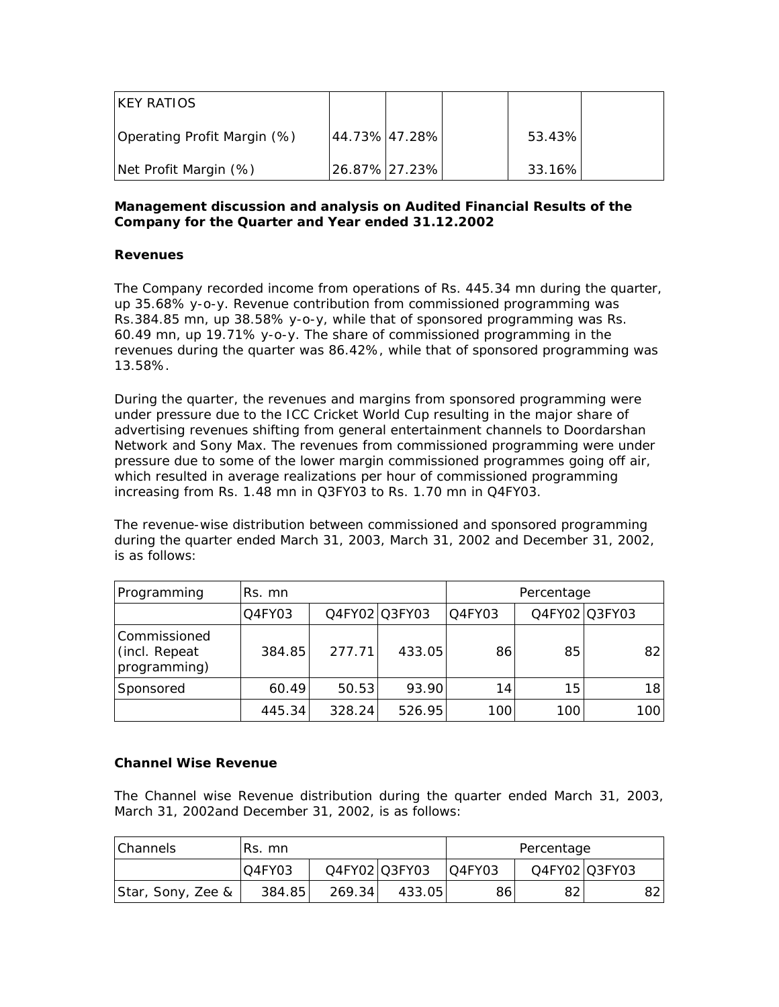| <b>IKEY RATIOS</b>                 |               |               |        |  |
|------------------------------------|---------------|---------------|--------|--|
| <b>Operating Profit Margin (%)</b> | 44.73% 47.28% |               | 53.43% |  |
| Net Profit Margin (%)              |               | 26.87% 27.23% | 33.16% |  |

### **Management discussion and analysis on Audited Financial Results of the Company for the Quarter and Year ended 31.12.2002**

### **Revenues**

The Company recorded income from operations of Rs. 445.34 mn during the quarter, up 35.68% y-o-y. Revenue contribution from commissioned programming was Rs.384.85 mn, up 38.58% y-o-y, while that of sponsored programming was Rs. 60.49 mn, up 19.71% y-o-y. The share of commissioned programming in the revenues during the quarter was 86.42%, while that of sponsored programming was 13.58%.

During the quarter, the revenues and margins from sponsored programming were under pressure due to the ICC Cricket World Cup resulting in the major share of advertising revenues shifting from general entertainment channels to Doordarshan Network and Sony Max. The revenues from commissioned programming were under pressure due to some of the lower margin commissioned programmes going off air, which resulted in average realizations per hour of commissioned programming increasing from Rs. 1.48 mn in Q3FY03 to Rs. 1.70 mn in Q4FY03.

The revenue-wise distribution between commissioned and sponsored programming during the quarter ended March 31, 2003, March 31, 2002 and December 31, 2002, is as follows:

| Programming                                   | Rs. mn |        |               | Percentage |     |               |
|-----------------------------------------------|--------|--------|---------------|------------|-----|---------------|
|                                               | Q4FY03 |        | Q4FY02 Q3FY03 | Q4FY03     |     | Q4FY02 Q3FY03 |
| Commissioned<br>(incl. Repeat<br>programming) | 384.85 | 277.71 | 433.05        | 86         | 85  | 821           |
| Sponsored                                     | 60.49  | 50.53  | 93.90         | 14         | 15  | 181           |
|                                               | 445.34 | 328.24 | 526.95        | 100        | 100 | 100           |

### **Channel Wise Revenue**

The Channel wise Revenue distribution during the quarter ended March 31, 2003, March 31, 2002and December 31, 2002, is as follows:

| <b>Channels</b>   | Rs. mn                          |        |               | Percentage |               |    |
|-------------------|---------------------------------|--------|---------------|------------|---------------|----|
|                   | O <sub>4</sub> FY <sub>03</sub> |        | Q4FY02 Q3FY03 | IQ4FY03    | Q4FY02 Q3FY03 |    |
| Star, Sony, Zee & | 384.85                          | 269.34 | 433.05        | 86         | 82            | 82 |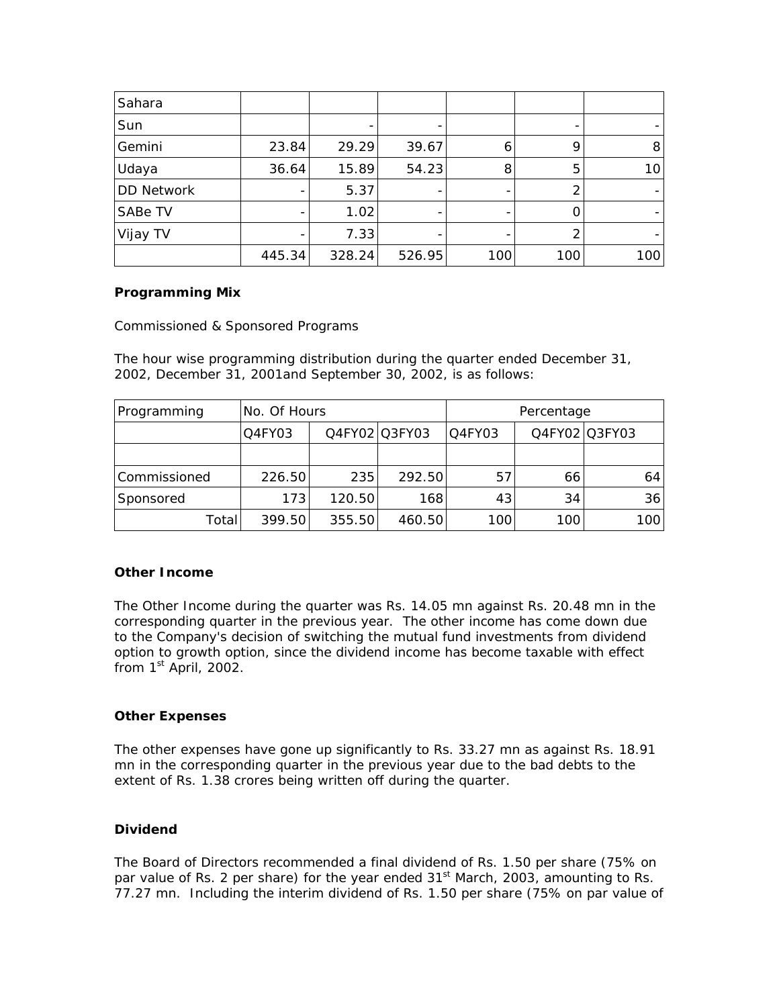| Sahara            |        |        |        |     |     |                |
|-------------------|--------|--------|--------|-----|-----|----------------|
| Sun               |        |        |        |     |     |                |
| Gemini            | 23.84  | 29.29  | 39.67  | 6   | 9   | 8 <sup>1</sup> |
| Udaya             | 36.64  | 15.89  | 54.23  | 8   | 5   | 10 I           |
| <b>DD Network</b> |        | 5.37   | -      |     |     |                |
| SABe TV           |        | 1.02   |        |     |     |                |
| Vijay TV          |        | 7.33   | -      |     |     |                |
|                   | 445.34 | 328.24 | 526.95 | 100 | 100 | 100            |

### **Programming Mix**

Commissioned & Sponsored Programs

The hour wise programming distribution during the quarter ended December 31, 2002, December 31, 2001and September 30, 2002, is as follows:

| Programming  | No. Of Hours |        |               |        | Percentage |                 |
|--------------|--------------|--------|---------------|--------|------------|-----------------|
|              | Q4FY03       |        | Q4FY02 Q3FY03 | Q4FY03 |            | Q4FY02 Q3FY03   |
|              |              |        |               |        |            |                 |
| Commissioned | 226.50       | 235    | 292.50        | 57     | 66         | 64 l            |
| Sponsored    | 173          | 120.50 | 1681          | 43     | 34         | 36 <sub>l</sub> |
| Totall       | 399.50       | 355.50 | 460.50        | 100    | 100        | 1001            |

## **Other Income**

The Other Income during the quarter was Rs. 14.05 mn against Rs. 20.48 mn in the corresponding quarter in the previous year. The other income has come down due to the Company's decision of switching the mutual fund investments from dividend option to growth option, since the dividend income has become taxable with effect from  $1<sup>st</sup>$  April, 2002.

## **Other Expenses**

The other expenses have gone up significantly to Rs. 33.27 mn as against Rs. 18.91 mn in the corresponding quarter in the previous year due to the bad debts to the extent of Rs. 1.38 crores being written off during the quarter.

### **Dividend**

The Board of Directors recommended a final dividend of Rs. 1.50 per share (75% on par value of Rs. 2 per share) for the year ended  $31<sup>st</sup>$  March, 2003, amounting to Rs. 77.27 mn. Including the interim dividend of Rs. 1.50 per share (75% on par value of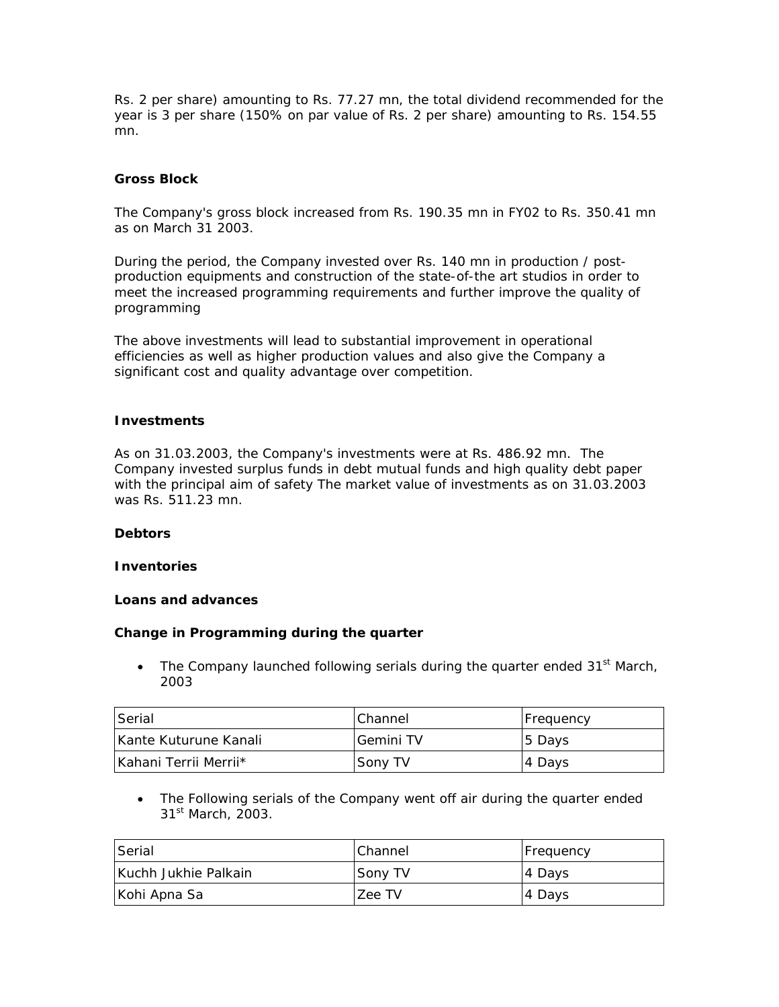Rs. 2 per share) amounting to Rs. 77.27 mn, the total dividend recommended for the year is 3 per share (150% on par value of Rs. 2 per share) amounting to Rs. 154.55 mn.

### **Gross Block**

The Company's gross block increased from Rs. 190.35 mn in FY02 to Rs. 350.41 mn as on March 31 2003.

During the period, the Company invested over Rs. 140 mn in production / postproduction equipments and construction of the state-of-the art studios in order to meet the increased programming requirements and further improve the quality of programming

The above investments will lead to substantial improvement in operational efficiencies as well as higher production values and also give the Company a significant cost and quality advantage over competition.

#### **Investments**

As on 31.03.2003, the Company's investments were at Rs. 486.92 mn. The Company invested surplus funds in debt mutual funds and high quality debt paper with the principal aim of safety *The market value of investments as on 31.03.2003 was Rs. 511.23 mn.*

#### **Debtors**

#### **Inventories**

#### **Loans and advances**

#### **Change in Programming during the quarter**

• The Company launched following serials during the quarter ended  $31<sup>st</sup>$  March, 2003

| <b>Serial</b>                 | IChannel   | <b>Frequency</b> |
|-------------------------------|------------|------------------|
| <b>IKante Kuturune Kanali</b> | lGemini TV | 5 Days           |
| IKahani Terrii Merrii*        | Sony TV    | 4 Days           |

• The Following serials of the Company went off air during the quarter ended 31st March, 2003.

| Serial               | <b>IChannel</b> | <b>Frequency</b> |
|----------------------|-----------------|------------------|
| Kuchh Jukhie Palkain | Sony TV         | 4 Days           |
| Kohi Apna Sa         | Zee TV          | 4 Days           |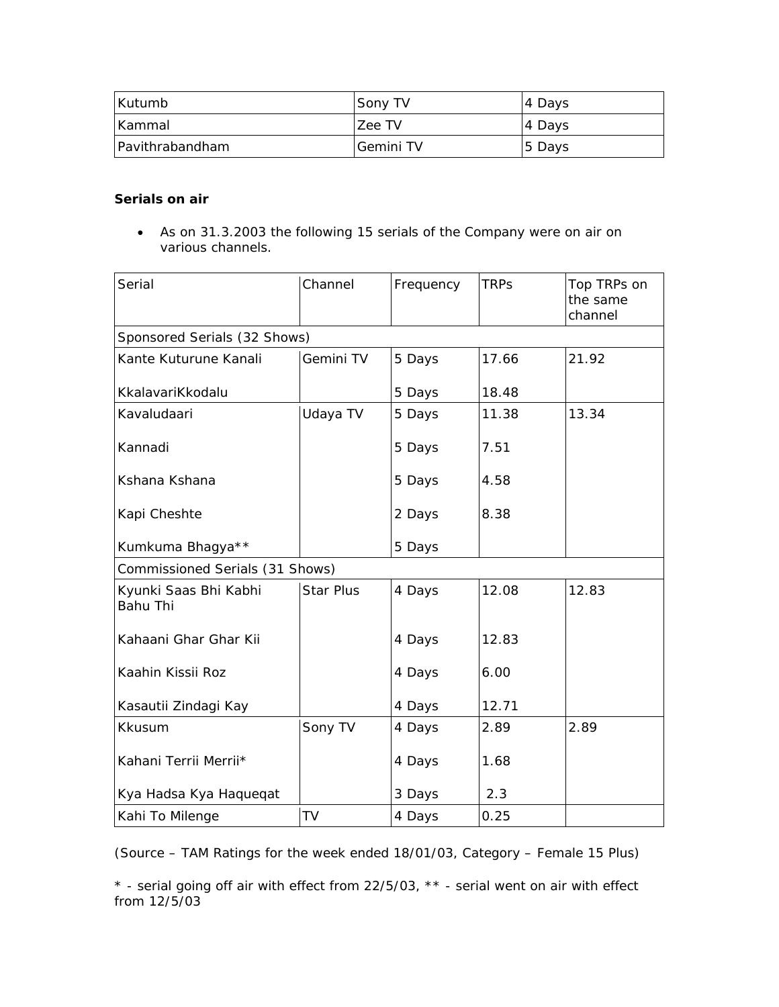| <b>Kutumb</b>   | lSonv TV  | 4 Days  |
|-----------------|-----------|---------|
| <b>Kammal</b>   | Zee TV    | 14 Davs |
| Pavithrabandham | Gemini TV | 5 Days  |

## **Serials on air**

• As on 31.3.2003 the following 15 serials of the Company were on air on various channels.

| Serial                                   | Channel   | Frequency | <b>TRPS</b> | Top TRPs on<br>the same<br>channel |
|------------------------------------------|-----------|-----------|-------------|------------------------------------|
| Sponsored Serials (32 Shows)             |           |           |             |                                    |
| Kante Kuturune Kanali                    | Gemini TV | 5 Days    | 17.66       | 21.92                              |
| KkalavariKkodalu                         |           | 5 Days    | 18.48       |                                    |
| Kavaludaari                              | Udaya TV  | 5 Days    | 11.38       | 13.34                              |
| Kannadi                                  |           | 5 Days    | 7.51        |                                    |
| Kshana Kshana                            |           | 5 Days    | 4.58        |                                    |
| Kapi Cheshte                             |           | 2 Days    | 8.38        |                                    |
| Kumkuma Bhagya**                         |           | 5 Days    |             |                                    |
| Commissioned Serials (31 Shows)          |           |           |             |                                    |
| Kyunki Saas Bhi Kabhi<br><b>Bahu Thi</b> | Star Plus | 4 Days    | 12.08       | 12.83                              |
| Kahaani Ghar Ghar Kii                    |           | 4 Days    | 12.83       |                                    |
| Kaahin Kissii Roz                        |           | 4 Days    | 6.00        |                                    |
| Kasautii Zindagi Kay                     |           | 4 Days    | 12.71       |                                    |
| <b>Kkusum</b>                            | Sony TV   | 4 Days    | 2.89        | 2.89                               |
| Kahani Terrii Merrii*                    |           | 4 Days    | 1.68        |                                    |
| Kya Hadsa Kya Haqueqat                   |           | 3 Days    | 2.3         |                                    |
| Kahi To Milenge                          | TV        | 4 Days    | 0.25        |                                    |

*(Source – TAM Ratings for the week ended 18/01/03, Category – Female 15 Plus)*

*\* - serial going off air with effect from 22/5/03, \*\* - serial went on air with effect from 12/5/03*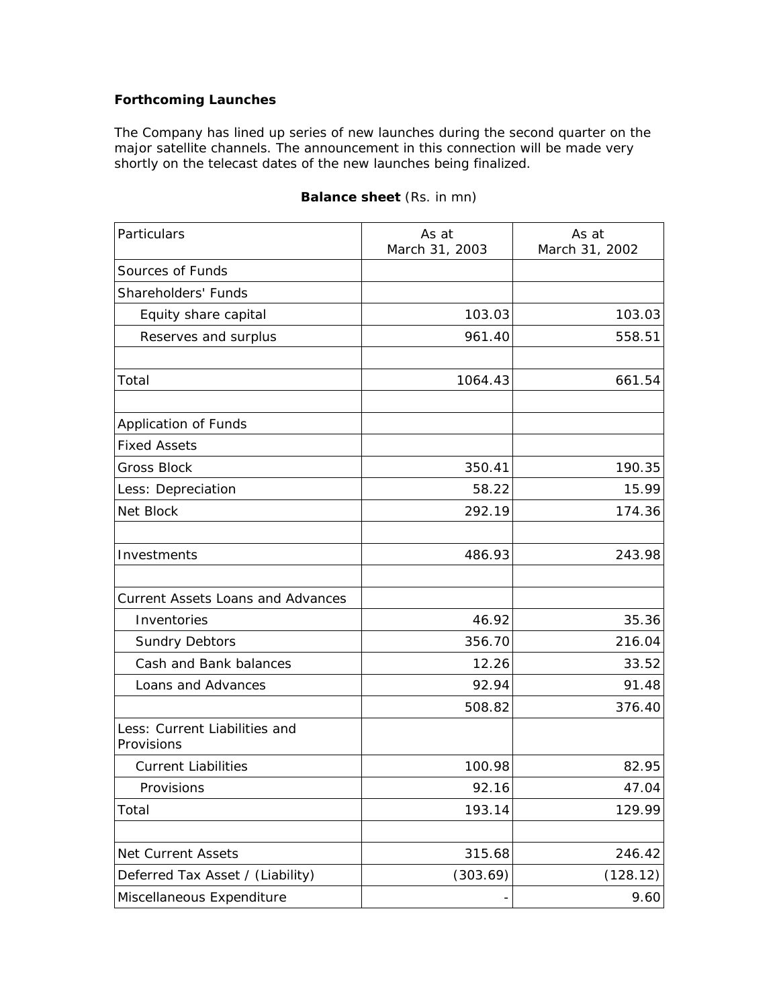# **Forthcoming Launches**

The Company has lined up series of new launches during the second quarter on the major satellite channels. The announcement in this connection will be made very shortly on the telecast dates of the new launches being finalized.

| Particulars                                 | As at<br>March 31, 2003 | As at<br>March 31, 2002 |
|---------------------------------------------|-------------------------|-------------------------|
| Sources of Funds                            |                         |                         |
| Shareholders' Funds                         |                         |                         |
| Equity share capital                        | 103.03                  | 103.03                  |
| Reserves and surplus                        | 961.40                  | 558.51                  |
| Total                                       | 1064.43                 | 661.54                  |
| Application of Funds                        |                         |                         |
| <b>Fixed Assets</b>                         |                         |                         |
| <b>Gross Block</b>                          | 350.41                  | 190.35                  |
| Less: Depreciation                          | 58.22                   | 15.99                   |
| Net Block                                   | 292.19                  | 174.36                  |
| Investments                                 | 486.93                  | 243.98                  |
| <b>Current Assets Loans and Advances</b>    |                         |                         |
| Inventories                                 | 46.92                   | 35.36                   |
| <b>Sundry Debtors</b>                       | 356.70                  | 216.04                  |
| Cash and Bank balances                      | 12.26                   | 33.52                   |
| Loans and Advances                          | 92.94                   | 91.48                   |
|                                             | 508.82                  | 376.40                  |
| Less: Current Liabilities and<br>Provisions |                         |                         |
| <b>Current Liabilities</b>                  | 100.98                  | 82.95                   |
| Provisions                                  | 92.16                   | 47.04                   |
| Total                                       | 193.14                  | 129.99                  |
| <b>Net Current Assets</b>                   | 315.68                  | 246.42                  |
| Deferred Tax Asset / (Liability)            | (303.69)                | (128.12)                |
| Miscellaneous Expenditure                   |                         | 9.60                    |

## **Balance sheet** (Rs. in mn)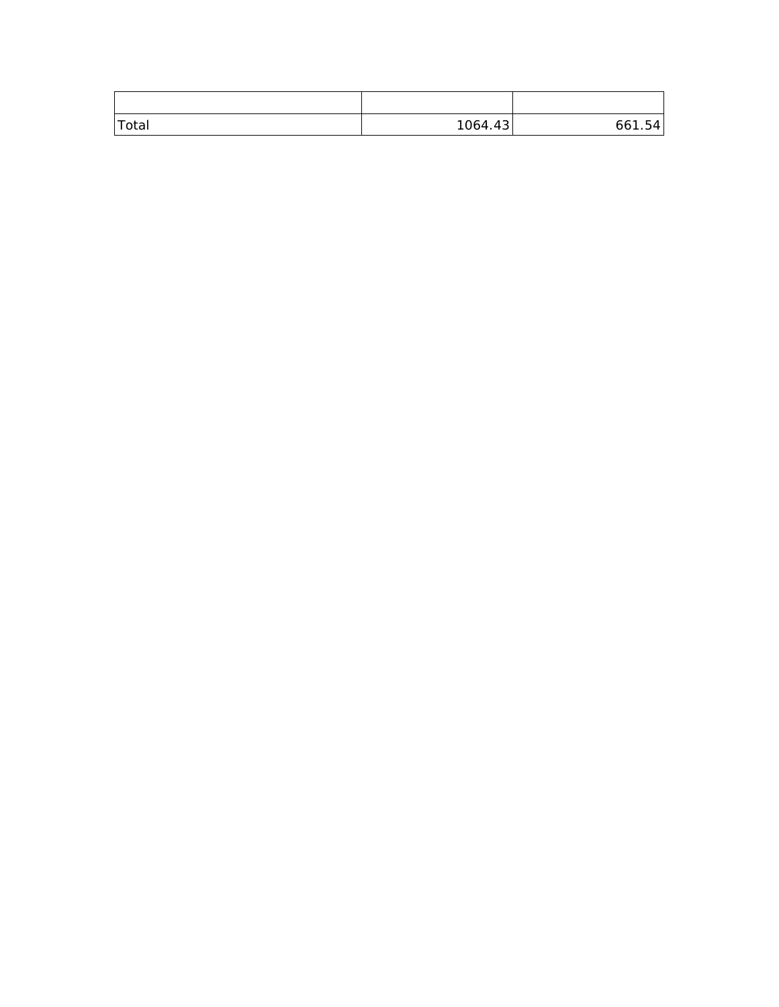| Total | 1064.43 | 661.54 |
|-------|---------|--------|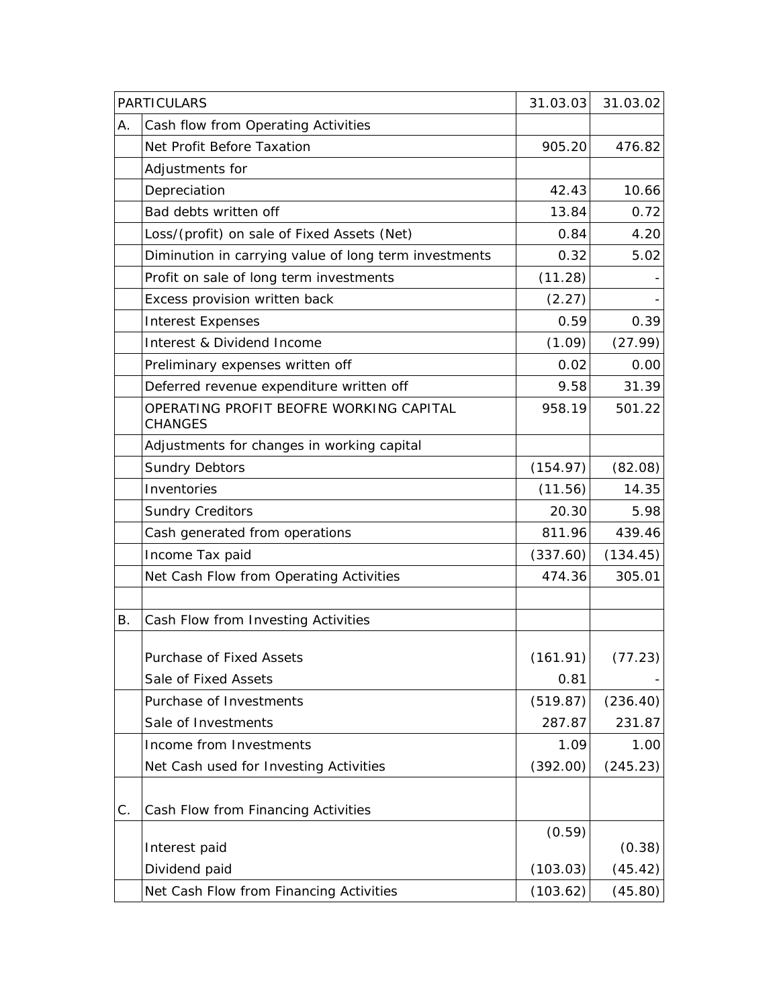|    | <b>PARTICULARS</b>                                        | 31.03.03 | 31.03.02 |
|----|-----------------------------------------------------------|----------|----------|
| Α. | Cash flow from Operating Activities                       |          |          |
|    | Net Profit Before Taxation                                | 905.20   | 476.82   |
|    | Adjustments for                                           |          |          |
|    | Depreciation                                              | 42.43    | 10.66    |
|    | Bad debts written off                                     | 13.84    | 0.72     |
|    | Loss/(profit) on sale of Fixed Assets (Net)               | 0.84     | 4.20     |
|    | Diminution in carrying value of long term investments     | 0.32     | 5.02     |
|    | Profit on sale of long term investments                   | (11.28)  |          |
|    | Excess provision written back                             | (2.27)   |          |
|    | <b>Interest Expenses</b>                                  | 0.59     | 0.39     |
|    | Interest & Dividend Income                                | (1.09)   | (27.99)  |
|    | Preliminary expenses written off                          | 0.02     | 0.00     |
|    | Deferred revenue expenditure written off                  | 9.58     | 31.39    |
|    | OPERATING PROFIT BEOFRE WORKING CAPITAL<br><b>CHANGES</b> | 958.19   | 501.22   |
|    | Adjustments for changes in working capital                |          |          |
|    | <b>Sundry Debtors</b>                                     | (154.97) | (82.08)  |
|    | Inventories                                               | (11.56)  | 14.35    |
|    | <b>Sundry Creditors</b>                                   | 20.30    | 5.98     |
|    | Cash generated from operations                            | 811.96   | 439.46   |
|    | Income Tax paid                                           | (337.60) | (134.45) |
|    | Net Cash Flow from Operating Activities                   | 474.36   | 305.01   |
| Β. | Cash Flow from Investing Activities                       |          |          |
|    | Purchase of Fixed Assets                                  | (161.91) |          |
|    | Sale of Fixed Assets                                      | 0.81     | (77.23)  |
|    | Purchase of Investments                                   | (519.87) | (236.40) |
|    | Sale of Investments                                       | 287.87   | 231.87   |
|    | Income from Investments                                   | 1.09     | 1.00     |
|    | Net Cash used for Investing Activities                    | (392.00) | (245.23) |
|    |                                                           |          |          |
| С. | Cash Flow from Financing Activities                       |          |          |
|    | Interest paid                                             | (0.59)   | (0.38)   |
|    | Dividend paid                                             | (103.03) | (45.42)  |
|    | Net Cash Flow from Financing Activities                   | (103.62) | (45.80)  |